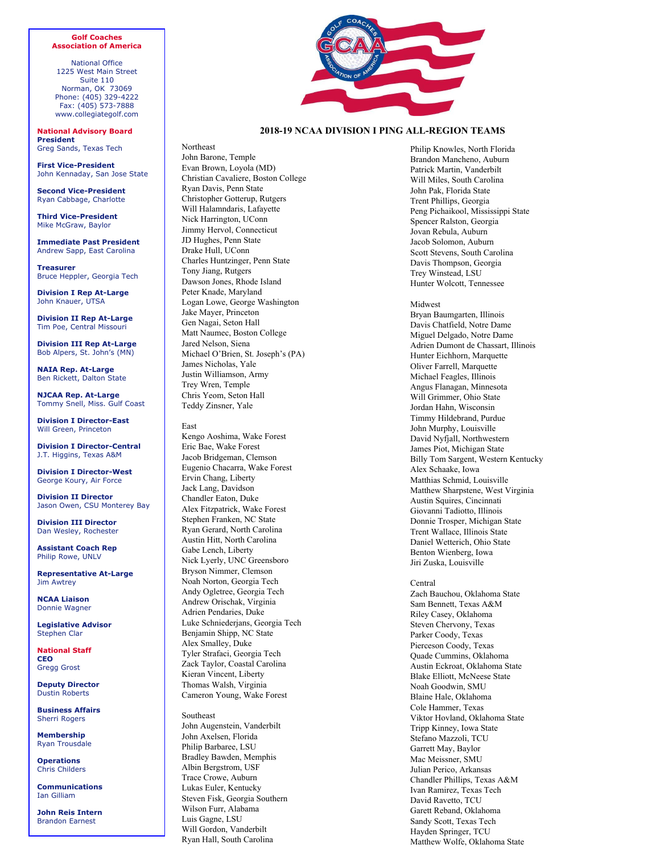## **Golf Coaches Association of America**

National Office 1225 West Main Street Suite 110 Norman, OK 73069 Phone: (405) 329-4222 Fax: (405) 573-7888 www.collegiategolf.com

**National Advisory Board President** Greg Sands, Texas Tech

**First Vice-President** John Kennaday, San Jose State

**Second Vice-President** Ryan Cabbage, Charlotte

**Third Vice-President**  Mike McGraw, Baylor

**Immediate Past President** Andrew Sapp, East Carolina

**Treasurer** Bruce Heppler, Georgia Tech

**Division I Rep At-Large** John Knauer, UTSA

**Division II Rep At-Large** Tim Poe, Central Missouri

**Division III Rep At-Large** Bob Alpers, St. John's (MN)

**NAIA Rep. At-Large**  Ben Rickett, Dalton State

**NJCAA Rep. At-Large**  Tommy Snell, Miss. Gulf Coast

**Division I Director-East**  Will Green, Princeton

**Division I Director-Central**  J.T. Higgins, Texas A&M

**Division I Director-West** George Koury, Air Force

**Division II Director** Jason Owen, CSU Monterey Bay

**Division III Director** Dan Wesley, Rochester

**Assistant Coach Rep**  Philip Rowe, UNLV

**Representative At-Large** Jim Awtrey

**NCAA Liaison**  Donnie Wagner

**Legislative Advisor**  Stephen Clar

**National Staff CEO**  Gregg Grost

**Deputy Director**  Dustin Roberts

**Business Affairs**  Sherri Rogers

**Membership**  Ryan Trousdale

**Operations**  Chris Childers

**Communications** Ian Gilliam

**John Reis Intern**  Brandon Earnest



## **2018-19 NCAA DIVISION I PING ALL-REGION TEAMS**

Northeast John Barone, Temple Evan Brown, Loyola (MD) Christian Cavaliere, Boston College Ryan Davis, Penn State Christopher Gotterup, Rutgers Will Halamndaris, Lafayette Nick Harrington, UConn Jimmy Hervol, Connecticut JD Hughes, Penn State Drake Hull, UConn Charles Huntzinger, Penn State Tony Jiang, Rutgers Dawson Jones, Rhode Island Peter Knade, Maryland Logan Lowe, George Washington Jake Mayer, Princeton Gen Nagai, Seton Hall Matt Naumec, Boston College Jared Nelson, Siena Michael O'Brien, St. Joseph's (PA) James Nicholas, Yale Justin Williamson, Army Trey Wren, Temple Chris Yeom, Seton Hall Teddy Zinsner, Yale

East Kengo Aoshima, Wake Forest Eric Bae, Wake Forest Jacob Bridgeman, Clemson Eugenio Chacarra, Wake Forest Ervin Chang, Liberty Jack Lang, Davidson Chandler Eaton, Duke Alex Fitzpatrick, Wake Forest Stephen Franken, NC State Ryan Gerard, North Carolina Austin Hitt, North Carolina Gabe Lench, Liberty Nick Lyerly, UNC Greensboro Bryson Nimmer, Clemson Noah Norton, Georgia Tech Andy Ogletree, Georgia Tech Andrew Orischak, Virginia Adrien Pendaries, Duke Luke Schniederjans, Georgia Tech Benjamin Shipp, NC State Alex Smalley, Duke Tyler Strafaci, Georgia Tech Zack Taylor, Coastal Carolina Kieran Vincent, Liberty Thomas Walsh, Virginia Cameron Young, Wake Forest

Southeast John Augenstein, Vanderbilt John Axelsen, Florida Philip Barbaree, LSU Bradley Bawden, Memphis Albin Bergstrom, USF Trace Crowe, Auburn Lukas Euler, Kentucky Steven Fisk, Georgia Southern Wilson Furr, Alabama Luis Gagne, LSU Will Gordon, Vanderbilt Ryan Hall, South Carolina

Philip Knowles, North Florida Brandon Mancheno, Auburn Patrick Martin, Vanderbilt Will Miles, South Carolina John Pak, Florida State Trent Phillips, Georgia Peng Pichaikool, Mississippi State Spencer Ralston, Georgia Jovan Rebula, Auburn Jacob Solomon, Auburn Scott Stevens, South Carolina Davis Thompson, Georgia Trey Winstead, LSU Hunter Wolcott, Tennessee

## Midwest

Bryan Baumgarten, Illinois Davis Chatfield, Notre Dame Miguel Delgado, Notre Dame Adrien Dumont de Chassart, Illinois Hunter Eichhorn, Marquette Oliver Farrell, Marquette Michael Feagles, Illinois Angus Flanagan, Minnesota Will Grimmer, Ohio State Jordan Hahn, Wisconsin Timmy Hildebrand, Purdue John Murphy, Louisville David Nyfjall, Northwestern James Piot, Michigan State Billy Tom Sargent, Western Kentucky Alex Schaake, Iowa Matthias Schmid, Louisville Matthew Sharpstene, West Virginia Austin Squires, Cincinnati Giovanni Tadiotto, Illinois Donnie Trosper, Michigan State Trent Wallace, Illinois State Daniel Wetterich, Ohio State Benton Wienberg, Iowa Jiri Zuska, Louisville

## Central

Zach Bauchou, Oklahoma State Sam Bennett, Texas A&M Riley Casey, Oklahoma Steven Chervony, Texas Parker Coody, Texas Pierceson Coody, Texas Quade Cummins, Oklahoma Austin Eckroat, Oklahoma State Blake Elliott, McNeese State Noah Goodwin, SMU Blaine Hale, Oklahoma Cole Hammer, Texas Viktor Hovland, Oklahoma State Tripp Kinney, Iowa State Stefano Mazzoli, TCU Garrett May, Baylor Mac Meissner, SMU Julian Perico, Arkansas Chandler Phillips, Texas A&M Ivan Ramirez, Texas Tech David Ravetto, TCU Garett Reband, Oklahoma Sandy Scott, Texas Tech Hayden Springer, TCU Matthew Wolfe, Oklahoma State